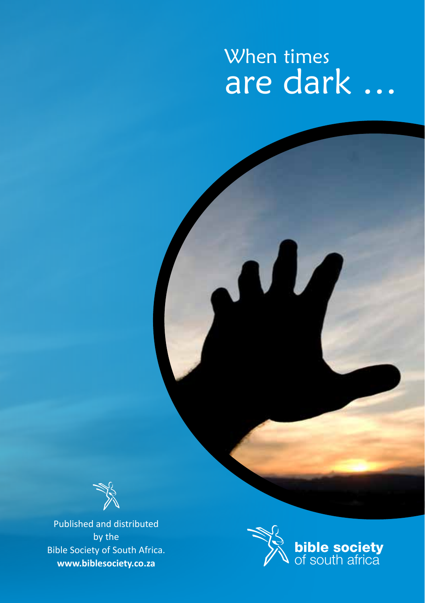# When times are dark …



Published and distributed by the Bible Society of South Africa. **www.biblesociety.co.za**